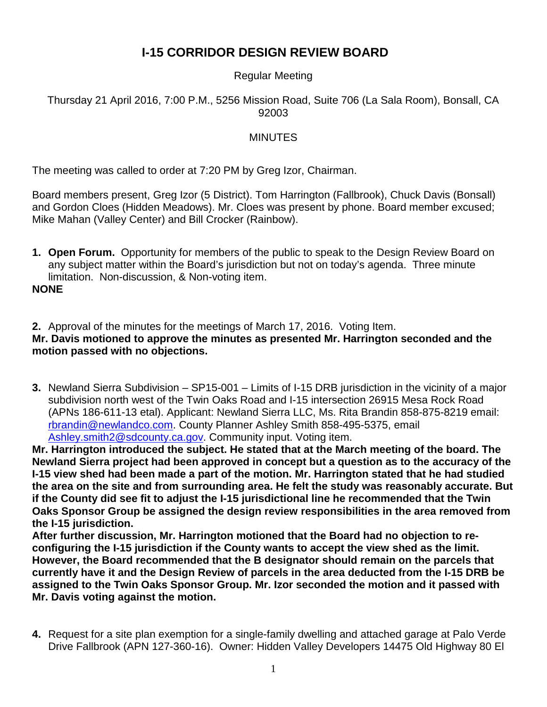## **I-15 CORRIDOR DESIGN REVIEW BOARD**

## Regular Meeting

## Thursday 21 April 2016, 7:00 P.M., 5256 Mission Road, Suite 706 (La Sala Room), Bonsall, CA 92003

## MINUTES

The meeting was called to order at 7:20 PM by Greg Izor, Chairman.

Board members present, Greg Izor (5 District). Tom Harrington (Fallbrook), Chuck Davis (Bonsall) and Gordon Cloes (Hidden Meadows). Mr. Cloes was present by phone. Board member excused; Mike Mahan (Valley Center) and Bill Crocker (Rainbow).

**1. Open Forum.** Opportunity for members of the public to speak to the Design Review Board on any subject matter within the Board's jurisdiction but not on today's agenda. Three minute limitation. Non-discussion, & Non-voting item.

**NONE**

**2.** Approval of the minutes for the meetings of March 17, 2016. Voting Item. **Mr. Davis motioned to approve the minutes as presented Mr. Harrington seconded and the motion passed with no objections.**

**3.** Newland Sierra Subdivision – SP15-001 – Limits of I-15 DRB jurisdiction in the vicinity of a major subdivision north west of the Twin Oaks Road and I-15 intersection 26915 Mesa Rock Road (APNs 186-611-13 etal). Applicant: Newland Sierra LLC, Ms. Rita Brandin 858-875-8219 email: [rbrandin@newlandco.com.](mailto:rbrandin@newlandco.com) County Planner Ashley Smith 858-495-5375, email [Ashley.smith2@sdcounty.ca.gov.](mailto:Ashley.smith2@sdcounty.ca.gov) Community input. Voting item.

**Mr. Harrington introduced the subject. He stated that at the March meeting of the board. The Newland Sierra project had been approved in concept but a question as to the accuracy of the I-15 view shed had been made a part of the motion. Mr. Harrington stated that he had studied the area on the site and from surrounding area. He felt the study was reasonably accurate. But if the County did see fit to adjust the I-15 jurisdictional line he recommended that the Twin Oaks Sponsor Group be assigned the design review responsibilities in the area removed from the I-15 jurisdiction.** 

**After further discussion, Mr. Harrington motioned that the Board had no objection to reconfiguring the I-15 jurisdiction if the County wants to accept the view shed as the limit. However, the Board recommended that the B designator should remain on the parcels that currently have it and the Design Review of parcels in the area deducted from the I-15 DRB be assigned to the Twin Oaks Sponsor Group. Mr. Izor seconded the motion and it passed with Mr. Davis voting against the motion.** 

**4.** Request for a site plan exemption for a single-family dwelling and attached garage at Palo Verde Drive Fallbrook (APN 127-360-16). Owner: Hidden Valley Developers 14475 Old Highway 80 El